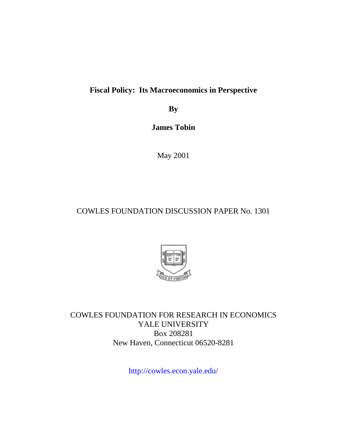## **Fiscal Policy: Its Macroeconomics in Perspective**

**By**

**James Tobin**

May 2001

# COWLES FOUNDATION DISCUSSION PAPER No. 1301



COWLES FOUNDATION FOR RESEARCH IN ECONOMICS YALE UNIVERSITY Box 208281 New Haven, Connecticut 06520-8281

http://cowles.econ.yale.edu/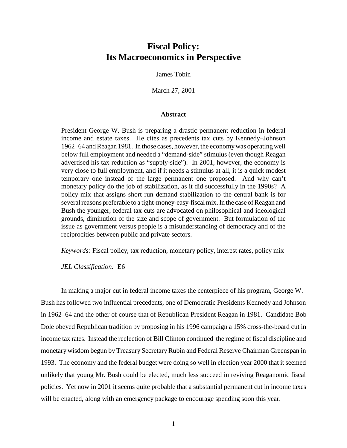## **Fiscal Policy: Its Macroeconomics in Perspective**

James Tobin

March 27, 2001

#### **Abstract**

President George W. Bush is preparing a drastic permanent reduction in federal income and estate taxes. He cites as precedents tax cuts by Kennedy–Johnson 1962–64 and Reagan 1981. In those cases, however, the economy was operating well below full employment and needed a "demand-side" stimulus (even though Reagan advertised his tax reduction as "supply-side"). In 2001, however, the economy is very close to full employment, and if it needs a stimulus at all, it is a quick modest temporary one instead of the large permanent one proposed. And why can't monetary policy do the job of stabilization, as it did successfully in the 1990s? A policy mix that assigns short run demand stabilization to the central bank is for several reasons preferable to a tight-money-easy-fiscal mix. In the case of Reagan and Bush the younger, federal tax cuts are advocated on philosophical and ideological grounds, diminution of the size and scope of government. But formulation of the issue as government versus people is a misunderstanding of democracy and of the reciprocities between public and private sectors.

*Keywords:* Fiscal policy, tax reduction, monetary policy, interest rates, policy mix

*JEL Classification:* E6

In making a major cut in federal income taxes the centerpiece of his program, George W. Bush has followed two influential precedents, one of Democratic Presidents Kennedy and Johnson in 1962–64 and the other of course that of Republican President Reagan in 1981. Candidate Bob Dole obeyed Republican tradition by proposing in his 1996 campaign a 15% cross-the-board cut in income tax rates. Instead the reelection of Bill Clinton continued the regime of fiscal discipline and monetary wisdom begun by Treasury Secretary Rubin and Federal Reserve Chairman Greenspan in 1993. The economy and the federal budget were doing so well in election year 2000 that it seemed unlikely that young Mr. Bush could be elected, much less succeed in reviving Reaganomic fiscal policies. Yet now in 2001 it seems quite probable that a substantial permanent cut in income taxes will be enacted, along with an emergency package to encourage spending soon this year.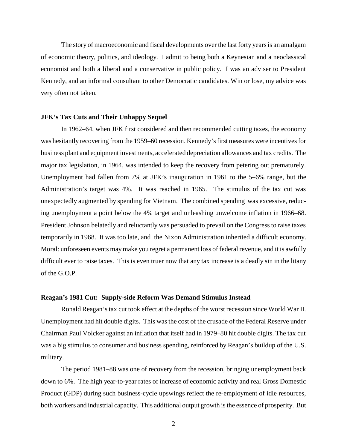The story of macroeconomic and fiscal developments over the last forty years is an amalgam of economic theory, politics, and ideology. I admit to being both a Keynesian and a neoclassical economist and both a liberal and a conservative in public policy. I was an adviser to President Kennedy, and an informal consultant to other Democratic candidates. Win or lose, my advice was very often not taken.

#### **JFK's Tax Cuts and Their Unhappy Sequel**

In 1962–64, when JFK first considered and then recommended cutting taxes, the economy was hesitantly recovering from the 1959–60 recession. Kennedy's first measures were incentives for business plant and equipment investments, accelerated depreciation allowances and tax credits. The major tax legislation, in 1964, was intended to keep the recovery from petering out prematurely. Unemployment had fallen from 7% at JFK's inauguration in 1961 to the 5–6% range, but the Administration's target was 4%. It was reached in 1965. The stimulus of the tax cut was unexpectedly augmented by spending for Vietnam. The combined spending was excessive, reducing unemployment a point below the 4% target and unleashing unwelcome inflation in 1966–68. President Johnson belatedly and reluctantly was persuaded to prevail on the Congress to raise taxes temporarily in 1968. It was too late, and the Nixon Administration inherited a difficult economy. Moral: unforeseen events may make you regret a permanent loss of federal revenue, and it is awfully difficult ever to raise taxes. This is even truer now that any tax increase is a deadly sin in the litany of the G.O.P.

#### **Reagan's 1981 Cut: Supply-side Reform Was Demand Stimulus Instead**

Ronald Reagan's tax cut took effect at the depths of the worst recession since World War II. Unemployment had hit double digits. This was the cost of the crusade of the Federal Reserve under Chairman Paul Volcker against an inflation that itself had in 1979–80 hit double digits. The tax cut was a big stimulus to consumer and business spending, reinforced by Reagan's buildup of the U.S. military.

The period 1981–88 was one of recovery from the recession, bringing unemployment back down to 6%. The high year-to-year rates of increase of economic activity and real Gross Domestic Product (GDP) during such business-cycle upswings reflect the re-employment of idle resources, both workers and industrial capacity. This additional output growth is the essence of prosperity. But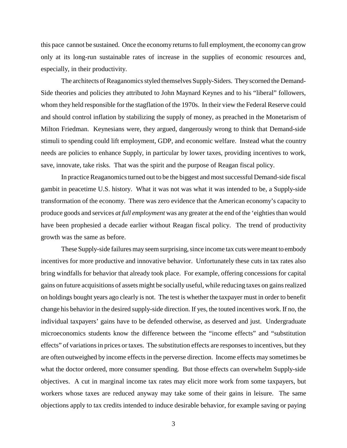this pace cannot be sustained. Once the economy returns to full employment, the economy can grow only at its long-run sustainable rates of increase in the supplies of economic resources and, especially, in their productivity.

The architects of Reaganomics styled themselves Supply-Siders. They scorned the Demand-Side theories and policies they attributed to John Maynard Keynes and to his "liberal" followers, whom they held responsible for the stagflation of the 1970s. In their view the Federal Reserve could and should control inflation by stabilizing the supply of money, as preached in the Monetarism of Milton Friedman. Keynesians were, they argued, dangerously wrong to think that Demand-side stimuli to spending could lift employment, GDP, and economic welfare. Instead what the country needs are policies to enhance Supply, in particular by lower taxes, providing incentives to work, save, innovate, take risks. That was the spirit and the purpose of Reagan fiscal policy.

In practice Reaganomics turned out to be the biggest and most successful Demand-side fiscal gambit in peacetime U.S. history. What it was not was what it was intended to be, a Supply-side transformation of the economy. There was zero evidence that the American economy's capacity to produce goods and services *at full employment* was any greater at the end of the 'eighties than would have been prophesied a decade earlier without Reagan fiscal policy. The trend of productivity growth was the same as before.

These Supply-side failures may seem surprising, since income tax cuts were meant to embody incentives for more productive and innovative behavior. Unfortunately these cuts in tax rates also bring windfalls for behavior that already took place. For example, offering concessions for capital gains on future acquisitions of assets might be socially useful, while reducing taxes on gains realized on holdings bought years ago clearly is not. The test is whether the taxpayer must in order to benefit change his behavior in the desired supply-side direction. If yes, the touted incentives work. If no, the individual taxpayers' gains have to be defended otherwise, as deserved and just. Undergraduate microeconomics students know the difference between the "income effects" and "substitution effects" of variations in prices or taxes. The substitution effects are responses to incentives, but they are often outweighed by income effects in the perverse direction. Income effects may sometimes be what the doctor ordered, more consumer spending. But those effects can overwhelm Supply-side objectives. A cut in marginal income tax rates may elicit more work from some taxpayers, but workers whose taxes are reduced anyway may take some of their gains in leisure. The same objections apply to tax credits intended to induce desirable behavior, for example saving or paying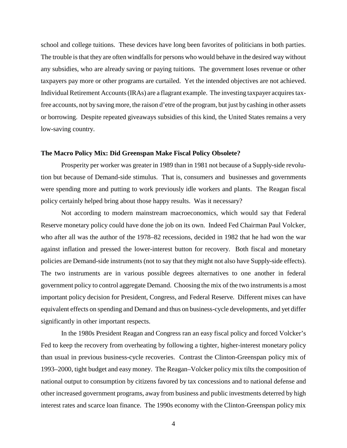school and college tuitions. These devices have long been favorites of politicians in both parties. The trouble is that they are often windfalls for persons who would behave in the desired way without any subsidies, who are already saving or paying tuitions. The government loses revenue or other taxpayers pay more or other programs are curtailed. Yet the intended objectives are not achieved. Individual Retirement Accounts (IRAs) are a flagrant example. The investing taxpayer acquires taxfree accounts, not by saving more, the raison d'etre of the program, but just by cashing in other assets or borrowing. Despite repeated giveaways subsidies of this kind, the United States remains a very low-saving country.

### **The Macro Policy Mix: Did Greenspan Make Fiscal Policy Obsolete?**

Prosperity per worker was greater in 1989 than in 1981 not because of a Supply-side revolution but because of Demand-side stimulus. That is, consumers and businesses and governments were spending more and putting to work previously idle workers and plants. The Reagan fiscal policy certainly helped bring about those happy results. Was it necessary?

Not according to modern mainstream macroeconomics, which would say that Federal Reserve monetary policy could have done the job on its own. Indeed Fed Chairman Paul Volcker, who after all was the author of the 1978–82 recessions, decided in 1982 that he had won the war against inflation and pressed the lower-interest button for recovery. Both fiscal and monetary policies are Demand-side instruments (not to say that they might not also have Supply-side effects). The two instruments are in various possible degrees alternatives to one another in federal government policy to control aggregate Demand. Choosing the mix of the two instruments is a most important policy decision for President, Congress, and Federal Reserve. Different mixes can have equivalent effects on spending and Demand and thus on business-cycle developments, and yet differ significantly in other important respects.

In the 1980s President Reagan and Congress ran an easy fiscal policy and forced Volcker's Fed to keep the recovery from overheating by following a tighter, higher-interest monetary policy than usual in previous business-cycle recoveries. Contrast the Clinton-Greenspan policy mix of 1993–2000, tight budget and easy money. The Reagan–Volcker policy mix tilts the composition of national output to consumption by citizens favored by tax concessions and to national defense and other increased government programs, away from business and public investments deterred by high interest rates and scarce loan finance. The 1990s economy with the Clinton-Greenspan policy mix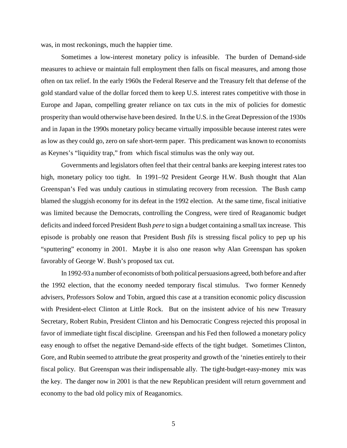was, in most reckonings, much the happier time.

Sometimes a low-interest monetary policy is infeasible. The burden of Demand-side measures to achieve or maintain full employment then falls on fiscal measures, and among those often on tax relief. In the early 1960s the Federal Reserve and the Treasury felt that defense of the gold standard value of the dollar forced them to keep U.S. interest rates competitive with those in Europe and Japan, compelling greater reliance on tax cuts in the mix of policies for domestic prosperity than would otherwise have been desired. In the U.S. in the Great Depression of the 1930s and in Japan in the 1990s monetary policy became virtually impossible because interest rates were as low as they could go, zero on safe short-term paper. This predicament was known to economists as Keynes's "liquidity trap," from which fiscal stimulus was the only way out.

Governments and legislators often feel that their central banks are keeping interest rates too high, monetary policy too tight. In 1991–92 President George H.W. Bush thought that Alan Greenspan's Fed was unduly cautious in stimulating recovery from recession. The Bush camp blamed the sluggish economy for its defeat in the 1992 election. At the same time, fiscal initiative was limited because the Democrats, controlling the Congress, were tired of Reaganomic budget deficits and indeed forced President Bush *pere* to sign a budget containing a small tax increase. This episode is probably one reason that President Bush *fils* is stressing fiscal policy to pep up his "sputtering" economy in 2001. Maybe it is also one reason why Alan Greenspan has spoken favorably of George W. Bush's proposed tax cut.

In 1992-93 a number of economists of both political persuasions agreed, both before and after the 1992 election, that the economy needed temporary fiscal stimulus. Two former Kennedy advisers, Professors Solow and Tobin, argued this case at a transition economic policy discussion with President-elect Clinton at Little Rock. But on the insistent advice of his new Treasury Secretary, Robert Rubin, President Clinton and his Democratic Congress rejected this proposal in favor of immediate tight fiscal discipline. Greenspan and his Fed then followed a monetary policy easy enough to offset the negative Demand-side effects of the tight budget. Sometimes Clinton, Gore, and Rubin seemed to attribute the great prosperity and growth of the 'nineties entirely to their fiscal policy. But Greenspan was their indispensable ally. The tight-budget-easy-money mix was the key. The danger now in 2001 is that the new Republican president will return government and economy to the bad old policy mix of Reaganomics.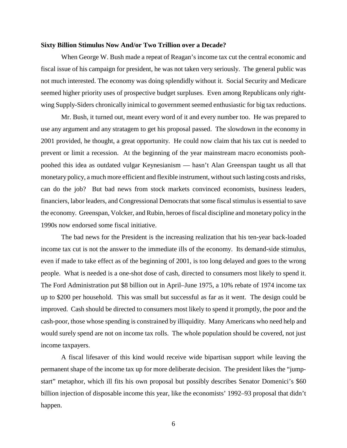#### **Sixty Billion Stimulus Now And/or Two Trillion over a Decade?**

When George W. Bush made a repeat of Reagan's income tax cut the central economic and fiscal issue of his campaign for president, he was not taken very seriously. The general public was not much interested. The economy was doing splendidly without it. Social Security and Medicare seemed higher priority uses of prospective budget surpluses. Even among Republicans only rightwing Supply-Siders chronically inimical to government seemed enthusiastic for big tax reductions.

Mr. Bush, it turned out, meant every word of it and every number too. He was prepared to use any argument and any stratagem to get his proposal passed. The slowdown in the economy in 2001 provided, he thought, a great opportunity. He could now claim that his tax cut is needed to prevent or limit a recession. At the beginning of the year mainstream macro economists poohpoohed this idea as outdated vulgar Keynesianism — hasn't Alan Greenspan taught us all that monetary policy, a much more efficient and flexible instrument, without such lasting costs and risks, can do the job? But bad news from stock markets convinced economists, business leaders, financiers, labor leaders, and Congressional Democrats that some fiscal stimulus is essential to save the economy. Greenspan, Volcker, and Rubin, heroes of fiscal discipline and monetary policy in the 1990s now endorsed some fiscal initiative.

The bad news for the President is the increasing realization that his ten-year back-loaded income tax cut is not the answer to the immediate ills of the economy. Its demand-side stimulus, even if made to take effect as of the beginning of 2001, is too long delayed and goes to the wrong people. What is needed is a one-shot dose of cash, directed to consumers most likely to spend it. The Ford Administration put \$8 billion out in April–June 1975, a 10% rebate of 1974 income tax up to \$200 per household. This was small but successful as far as it went. The design could be improved. Cash should be directed to consumers most likely to spend it promptly, the poor and the cash-poor, those whose spending is constrained by illiquidity. Many Americans who need help and would surely spend are not on income tax rolls. The whole population should be covered, not just income taxpayers.

A fiscal lifesaver of this kind would receive wide bipartisan support while leaving the permanent shape of the income tax up for more deliberate decision. The president likes the "jumpstart" metaphor, which ill fits his own proposal but possibly describes Senator Domenici's \$60 billion injection of disposable income this year, like the economists' 1992–93 proposal that didn't happen.

6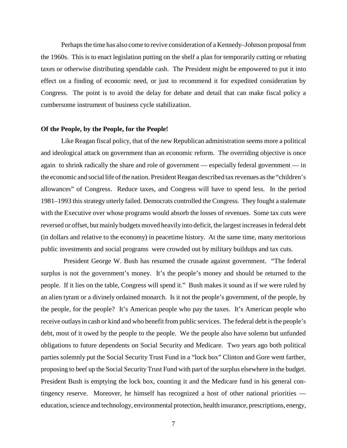Perhaps the time has also come to revive consideration of a Kennedy–Johnson proposal from the 1960s. This is to enact legislation putting on the shelf a plan for temporarily cutting or rebating taxes or otherwise distributing spendable cash. The President might be empowered to put it into effect on a finding of economic need, or just to recommend it for expedited consideration by Congress. The point is to avoid the delay for debate and detail that can make fiscal policy a cumbersome instrument of business cycle stabilization.

### **Of the People, by the People, for the People!**

Like Reagan fiscal policy, that of the new Republican administration seems more a political and ideological attack on government than an economic reform. The overriding objective is once again to shrink radically the share and role of government — especially federal government — in the economic and social life of the nation. President Reagan described tax revenues as the "children's allowances" of Congress. Reduce taxes, and Congress will have to spend less. In the period 1981–1993 this strategy utterly failed. Democrats controlled the Congress. They fought a stalemate with the Executive over whose programs would absorb the losses of revenues. Some tax cuts were reversed or offset, but mainly budgets moved heavily into deficit, the largest increases in federal debt (in dollars and relative to the economy) in peacetime history. At the same time, many meritorious public investments and social programs were crowded out by military buildups and tax cuts.

 President George W. Bush has resumed the crusade against government. "The federal surplus is not the government's money. It's the people's money and should be returned to the people. If it lies on the table, Congress will spend it." Bush makes it sound as if we were ruled by an alien tyrant or a divinely ordained monarch. Is it not the people's government, of the people, by the people, for the people? It's American people who pay the taxes. It's American people who receive outlays in cash or kind and who benefit from public services. The federal debt is the people's debt, most of it owed by the people to the people. We the people also have solemn but unfunded obligations to future dependents on Social Security and Medicare. Two years ago both political parties solemnly put the Social Security Trust Fund in a "lock box" Clinton and Gore went farther, proposing to beef up the Social Security Trust Fund with part of the surplus elsewhere in the budget. President Bush is emptying the lock box, counting it and the Medicare fund in his general contingency reserve. Moreover, he himself has recognized a host of other national priorities education, science and technology, environmental protection, health insurance, prescriptions, energy,